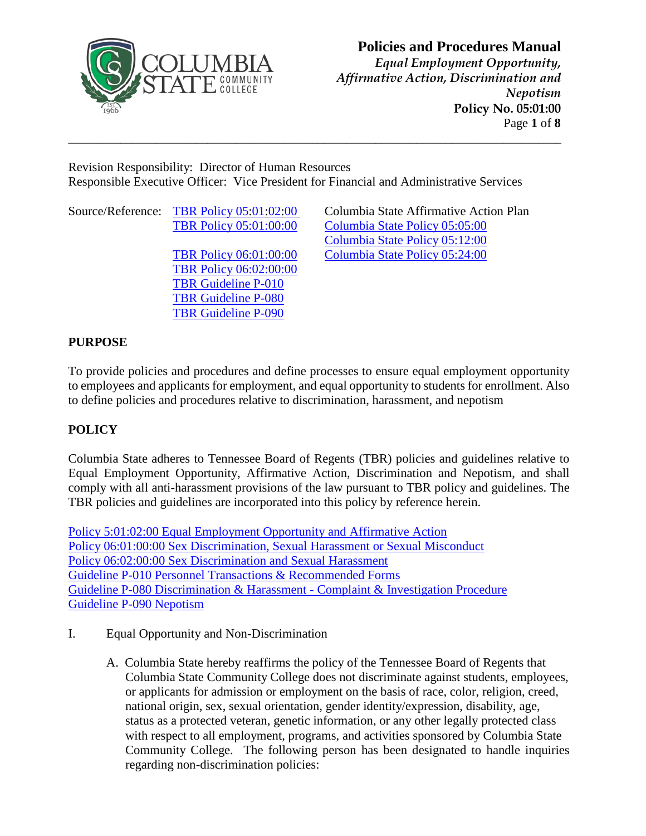

*Equal Employment Opportunity, Affirmative Action, Discrimination and Nepotism* **Policy No. 05:01:00** Page **1** of **8**

Revision Responsibility: Director of Human Resources Responsible Executive Officer: Vice President for Financial and Administrative Services

**\_\_\_\_\_\_\_\_\_\_\_\_\_\_\_\_\_\_\_\_\_\_\_\_\_\_\_\_\_\_\_\_\_\_\_\_\_\_\_\_\_\_\_\_\_\_\_\_\_\_\_\_\_\_\_\_\_\_\_\_\_\_\_\_\_\_\_\_\_\_\_\_\_\_\_\_\_\_\_\_\_\_\_\_\_**

Source/Reference: TBR Policy [05:01:02:00](https://policies.tbr.edu/policies/equal-employment-opportunity-and-affirmative-action) Columbia State Affirmative Action Plan

[TBR Policy 06:02:00:00](https://policies.tbr.edu/policies/sex-discrimination-sexual-harassment-or-sexual-misconduct) [TBR Guideline P-010](https://policies.tbr.edu/guidelines/personnel-transactions-recommended-forms) [TBR Guideline P-080](https://policies.tbr.edu/guidelines/discrimination-harassment-complaint-investigation-procedure) [TBR Guideline P-090](https://policies.tbr.edu/guidelines/nepotism)

[TBR Policy 05:01:00:00](https://policies.tbr.edu/policies/general-personnel-policy) [Columbia State Policy 05:05:00](https://www.columbiastate.edu/policies-procedures/documents20/05-personnel-policies/05-05-00-Administrative-Professional-Classification-Compensation-Plan-August-2019-Revision.pdf) [Columbia State Policy 05:12:00](https://www.columbiastate.edu/policies-procedures/documents20/05-personnel-policies/05-12-00-Awarding-of-Academic-Rank-and-Promotion.pdf) [TBR Policy 06:01:00:00](https://policies.tbr.edu/policies/sex-discrimination-and-sexual-harassment) [Columbia State Policy 05:24:00](https://www.columbiastate.edu/policies-procedures/documents20/05-personnel-policies/05-24-00-Anti-Harassment-Policy.pdf)

### **PURPOSE**

To provide policies and procedures and define processes to ensure equal employment opportunity to employees and applicants for employment, and equal opportunity to students for enrollment. Also to define policies and procedures relative to discrimination, harassment, and nepotism

### **POLICY**

Columbia State adheres to Tennessee Board of Regents (TBR) policies and guidelines relative to Equal Employment Opportunity, Affirmative Action, Discrimination and Nepotism, and shall comply with all anti-harassment provisions of the law pursuant to TBR policy and guidelines. The TBR policies and guidelines are incorporated into this policy by reference herein.

[Policy 5:01:02:00 Equal Employment Opportunity and Affirmative Action](https://policies.tbr.edu/policies/equal-employment-opportunity-and-affirmative-action) [Policy 06:01:00:00 Sex Discrimination, Sexual Harassment or Sexual Misconduct](https://policies.tbr.edu/policies/sex-discrimination-and-sexual-harassment) Policy 06:02:00:00 [Sex Discrimination and Sexual Harassment](https://policies.tbr.edu/policies/sex-discrimination-and-sexual-harassment-0) [Guideline P-010 Personnel Transactions & Recommended Forms](https://policies.tbr.edu/guidelines/personnel-transactions-recommended-forms) [Guideline P-080 Discrimination & Harassment -](https://policies.tbr.edu/guidelines/discrimination-harassment-complaint-investigation-procedure) Complaint & Investigation Procedure [Guideline P-090 Nepotism](https://policies.tbr.edu/guidelines/nepotism)

- I. Equal Opportunity and Non-Discrimination
	- A. Columbia State hereby reaffirms the policy of the Tennessee Board of Regents that Columbia State Community College does not discriminate against students, employees, or applicants for admission or employment on the basis of race, color, religion, creed, national origin, sex, sexual orientation, gender identity/expression, disability, age, status as a protected veteran, genetic information, or any other legally protected class with respect to all employment, programs, and activities sponsored by Columbia State Community College. The following person has been designated to handle inquiries regarding non-discrimination policies: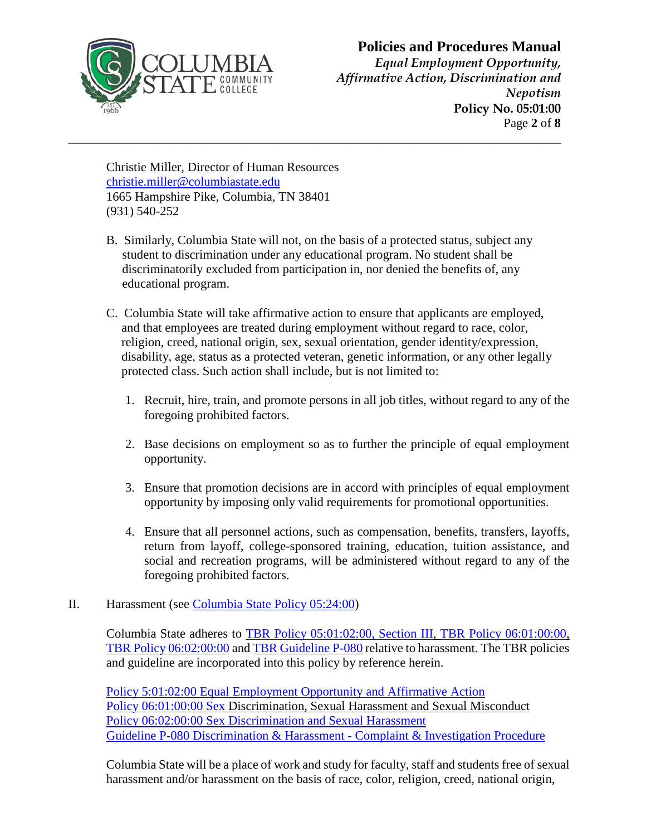

*Equal Employment Opportunity, Affirmative Action, Discrimination and Nepotism* **Policy No. 05:01:00** Page **2** of **8**

Christie Miller, Director of Human Resources [christie.miller@columbiastate.edu](mailto:christie.miller@columbiastate.edu) 1665 Hampshire Pike, Columbia, TN 38401 (931) 540-252

B. Similarly, Columbia State will not, on the basis of a protected status, subject any student to discrimination under any educational program. No student shall be discriminatorily excluded from participation in, nor denied the benefits of, any educational program.

**\_\_\_\_\_\_\_\_\_\_\_\_\_\_\_\_\_\_\_\_\_\_\_\_\_\_\_\_\_\_\_\_\_\_\_\_\_\_\_\_\_\_\_\_\_\_\_\_\_\_\_\_\_\_\_\_\_\_\_\_\_\_\_\_\_\_\_\_\_\_\_\_\_\_\_\_\_\_\_\_\_\_\_\_\_**

- C. Columbia State will take affirmative action to ensure that applicants are employed, and that employees are treated during employment without regard to race, color, religion, creed, national origin, sex, sexual orientation, gender identity/expression, disability, age, status as a protected veteran, genetic information, or any other legally protected class. Such action shall include, but is not limited to:
	- 1. Recruit, hire, train, and promote persons in all job titles, without regard to any of the foregoing prohibited factors.
	- 2. Base decisions on employment so as to further the principle of equal employment opportunity.
	- 3. Ensure that promotion decisions are in accord with principles of equal employment opportunity by imposing only valid requirements for promotional opportunities.
	- 4. Ensure that all personnel actions, such as compensation, benefits, transfers, layoffs, return from layoff, college-sponsored training, education, tuition assistance, and social and recreation programs, will be administered without regard to any of the foregoing prohibited factors.

#### II. Harassment (see [Columbia State Policy 05:24:00\)](https://www.columbiastate.edu/policies-procedures/documents20/05-personnel-policies/05-24-00-Anti-Harassment-Policy.pdf)

Columbia State adheres to [TBR Policy 05:01:02:00, Section III,](https://policies.tbr.edu/policies/equal-employment-opportunity-and-affirmative-action) [TBR Policy 06:01:00:00,](https://policies.tbr.edu/policies/sex-discrimination-sexual-harassment-or-sexual-misconduct) [TBR Policy 06:02:00:00](https://policies.tbr.edu/policies/sex-discrimination-and-sexual-harassment-0) and [TBR Guideline P-080](https://policies.tbr.edu/guidelines/discrimination-harassment-complaint-investigation-procedure) relative to harassment. The TBR policies and guideline are incorporated into this policy by reference herein.

[Policy 5:01:02:00 Equal Employment Opportunity and Affirmative Action](https://policies.tbr.edu/policies/equal-employment-opportunity-and-affirmative-action) [Policy 06:01:00:00 Sex](https://policies.tbr.edu/policies/sex-discrimination-sexual-harassment-or-sexual-misconduct) Discrimination, Sexual Harassment and Sexual Misconduct [Policy 06:02:00:00 Sex Discrimination and Sexual Harassment](https://policies.tbr.edu/policies/sex-discrimination-and-sexual-harassment-0) [Guideline P-080 Discrimination & Harassment -](https://policies.tbr.edu/guidelines/discrimination-harassment-complaint-investigation-procedure) Complaint & Investigation Procedure

Columbia State will be a place of work and study for faculty, staff and students free of sexual harassment and/or harassment on the basis of race, color, religion, creed, national origin,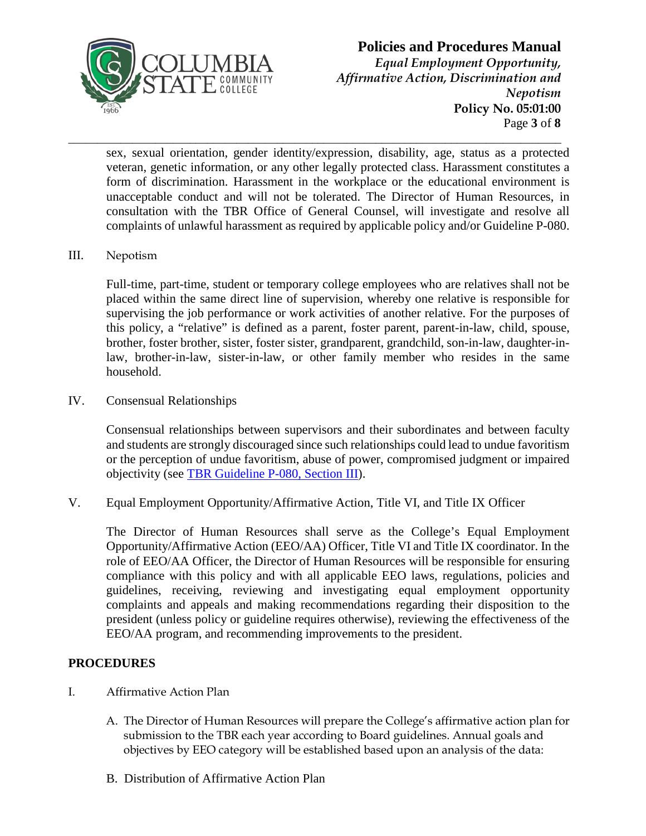

### **Policies and Procedures Manual** *Equal Employment Opportunity, Affirmative Action, Discrimination and Nepotism* **Policy No. 05:01:00** Page **3** of **8**

sex, sexual orientation, gender identity/expression, disability, age, status as a protected veteran, genetic information, or any other legally protected class. Harassment constitutes a form of discrimination. Harassment in the workplace or the educational environment is unacceptable conduct and will not be tolerated. The Director of Human Resources, in consultation with the TBR Office of General Counsel, will investigate and resolve all complaints of unlawful harassment as required by applicable policy and/or Guideline P-080.

**\_\_\_\_\_\_\_\_\_\_\_\_\_\_\_\_\_\_\_\_\_\_\_\_\_\_\_\_\_\_\_\_\_\_\_\_\_\_\_\_\_\_\_\_\_\_\_\_\_\_\_\_\_\_\_\_\_\_\_\_\_\_\_\_\_\_\_\_\_\_\_\_\_\_\_\_\_\_\_\_\_\_\_\_\_** 

III. Nepotism

Full-time, part-time, student or temporary college employees who are relatives shall not be placed within the same direct line of supervision, whereby one relative is responsible for supervising the job performance or work activities of another relative. For the purposes of this policy, a "relative" is defined as a parent, foster parent, parent-in-law, child, spouse, brother, foster brother, sister, foster sister, grandparent, grandchild, son-in-law, daughter-inlaw, brother-in-law, sister-in-law, or other family member who resides in the same household.

IV. Consensual Relationships

Consensual relationships between supervisors and their subordinates and between faculty and students are strongly discouraged since such relationships could lead to undue favoritism or the perception of undue favoritism, abuse of power, compromised judgment or impaired objectivity (see [TBR Guideline P-080, Section III\)](https://policies.tbr.edu/guidelines/discrimination-harassment-complaint-investigation-procedure).

V. Equal Employment Opportunity/Affirmative Action, Title VI, and Title IX Officer

The Director of Human Resources shall serve as the College's Equal Employment Opportunity/Affirmative Action (EEO/AA) Officer, Title VI and Title IX coordinator. In the role of EEO/AA Officer, the Director of Human Resources will be responsible for ensuring compliance with this policy and with all applicable EEO laws, regulations, policies and guidelines, receiving, reviewing and investigating equal employment opportunity complaints and appeals and making recommendations regarding their disposition to the president (unless policy or guideline requires otherwise), reviewing the effectiveness of the EEO/AA program, and recommending improvements to the president.

#### **PROCEDURES**

- I. Affirmative Action Plan
	- A. The Director of Human Resources will prepare the College's affirmative action plan for submission to the TBR each year according to Board guidelines. Annual goals and objectives by EEO category will be established based upon an analysis of the data:
	- B. Distribution of Affirmative Action Plan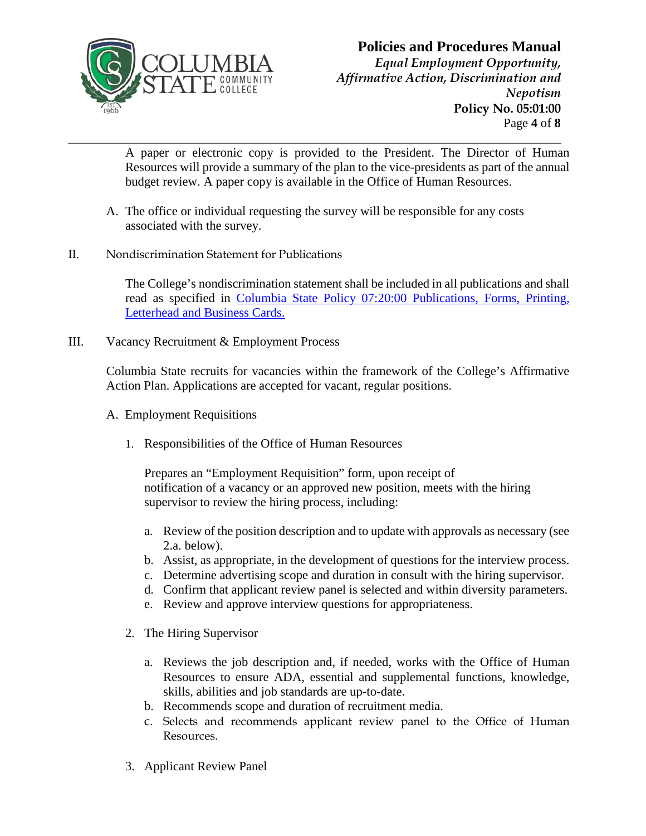

*Equal Employment Opportunity, Affirmative Action, Discrimination and Nepotism* **Policy No. 05:01:00** Page **4** of **8**

**\_\_\_\_\_\_\_\_\_\_\_\_\_\_\_\_\_\_\_\_\_\_\_\_\_\_\_\_\_\_\_\_\_\_\_\_\_\_\_\_\_\_\_\_\_\_\_\_\_\_\_\_\_\_\_\_\_\_\_\_\_\_\_\_\_\_\_\_\_\_\_\_\_\_\_\_\_\_\_\_\_\_\_\_\_** A paper or electronic copy is provided to the President. The Director of Human Resources will provide a summary of the plan to the vice-presidents as part of the annual budget review. A paper copy is available in the Office of Human Resources.

- A. The office or individual requesting the survey will be responsible for any costs associated with the survey.
- II. Nondiscrimination Statement for Publications

The College's nondiscrimination statement shall be included in all publications and shall read as specified in [Columbia State Policy 07:20:00 Publications, Forms, Printing,](https://www.columbiastate.edu/policies-procedures/documents20/07-operations-facilities/07-20-00-Publications,-Forms,-Printing,-Letterhead-and-Business-Cards-Revised-September-2018-Accessible.pdf)  [Letterhead and Business Cards.](https://www.columbiastate.edu/docs/default-source/policies-procedures/07-20-00-publications-forms-printing-letterhead-and-business-cards.pdf?sfvrsn=2)

III. Vacancy Recruitment & Employment Process

Columbia State recruits for vacancies within the framework of the College's Affirmative Action Plan. Applications are accepted for vacant, regular positions.

- A. Employment Requisitions
	- 1. Responsibilities of the Office of Human Resources

Prepares an "Employment Requisition" form, upon receipt of notification of a vacancy or an approved new position, meets with the hiring supervisor to review the hiring process, including:

- a. Review of the position description and to update with approvals as necessary (see 2.a. below).
- b. Assist, as appropriate, in the development of questions for the interview process.
- c. Determine advertising scope and duration in consult with the hiring supervisor.
- d. Confirm that applicant review panel is selected and within diversity parameters.
- e. Review and approve interview questions for appropriateness.
- 2. The Hiring Supervisor
	- a. Reviews the job description and, if needed, works with the Office of Human Resources to ensure ADA, essential and supplemental functions, knowledge, skills, abilities and job standards are up-to-date.
	- b. Recommends scope and duration of recruitment media.
	- c. Selects and recommends applicant review panel to the Office of Human Resources.
- 3. Applicant Review Panel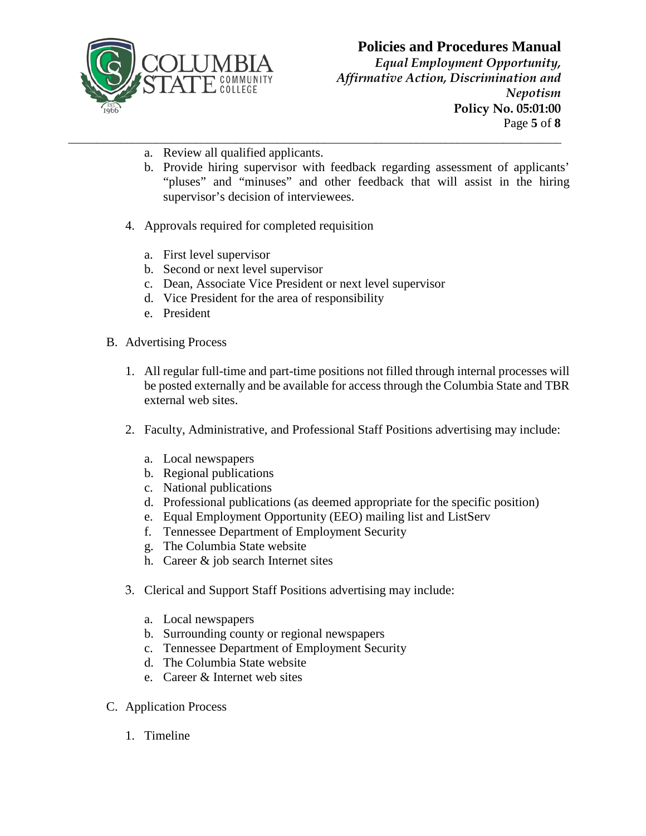

*Equal Employment Opportunity, Affirmative Action, Discrimination and Nepotism* **Policy No. 05:01:00** Page **5** of **8**

- **\_\_\_\_\_\_\_\_\_\_\_\_\_\_\_\_\_\_\_\_\_\_\_\_\_\_\_\_\_\_\_\_\_\_\_\_\_\_\_\_\_\_\_\_\_\_\_\_\_\_\_\_\_\_\_\_\_\_\_\_\_\_\_\_\_\_\_\_\_\_\_\_\_\_\_\_\_\_\_\_\_\_\_\_\_** a. Review all qualified applicants.
	- b. Provide hiring supervisor with feedback regarding assessment of applicants' "pluses" and "minuses" and other feedback that will assist in the hiring supervisor's decision of interviewees.
	- 4. Approvals required for completed requisition
		- a. First level supervisor
		- b. Second or next level supervisor
		- c. Dean, Associate Vice President or next level supervisor
		- d. Vice President for the area of responsibility
		- e. President
	- B. Advertising Process
		- 1. All regular full-time and part-time positions not filled through internal processes will be posted externally and be available for access through the Columbia State and TBR external web sites.
		- 2. Faculty, Administrative, and Professional Staff Positions advertising may include:
			- a. Local newspapers
			- b. Regional publications
			- c. National publications
			- d. Professional publications (as deemed appropriate for the specific position)
			- e. Equal Employment Opportunity (EEO) mailing list and ListServ
			- f. Tennessee Department of Employment Security
			- g. The Columbia State website
			- h. Career & job search Internet sites
		- 3. Clerical and Support Staff Positions advertising may include:
			- a. Local newspapers
			- b. Surrounding county or regional newspapers
			- c. Tennessee Department of Employment Security
			- d. The Columbia State website
			- e. Career & Internet web sites
	- C. Application Process
		- 1. Timeline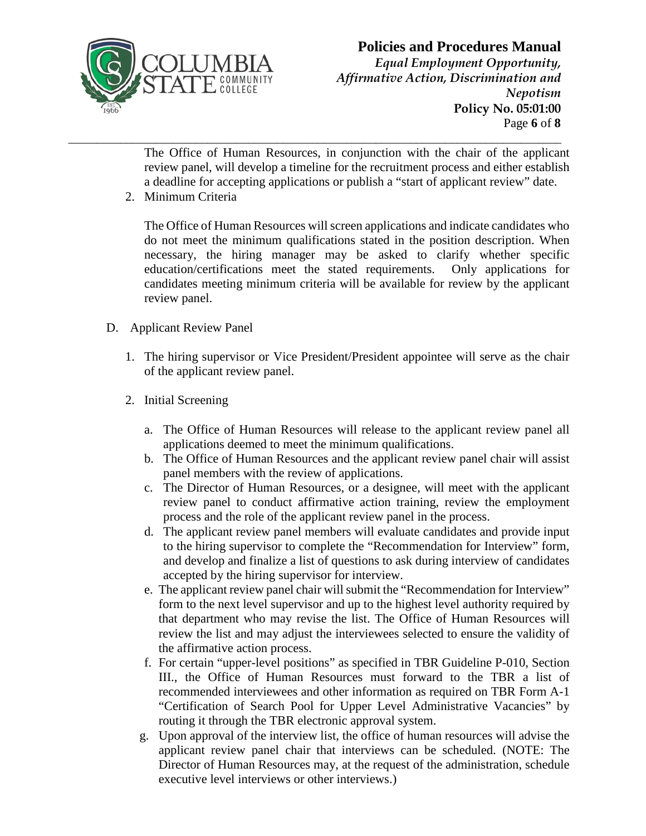

### **Policies and Procedures Manual** *Equal Employment Opportunity, Affirmative Action, Discrimination and Nepotism* **Policy No. 05:01:00** Page **6** of **8**

**\_\_\_\_\_\_\_\_\_\_\_\_\_\_\_\_\_\_\_\_\_\_\_\_\_\_\_\_\_\_\_\_\_\_\_\_\_\_\_\_\_\_\_\_\_\_\_\_\_\_\_\_\_\_\_\_\_\_\_\_\_\_\_\_\_\_\_\_\_\_\_\_\_\_\_\_\_\_\_\_\_\_\_\_\_** The Office of Human Resources, in conjunction with the chair of the applicant review panel, will develop a timeline for the recruitment process and either establish a deadline for accepting applications or publish a "start of applicant review" date.

2. Minimum Criteria

The Office of Human Resources will screen applications and indicate candidates who do not meet the minimum qualifications stated in the position description. When necessary, the hiring manager may be asked to clarify whether specific education/certifications meet the stated requirements. Only applications for candidates meeting minimum criteria will be available for review by the applicant review panel.

- D. Applicant Review Panel
	- 1. The hiring supervisor or Vice President/President appointee will serve as the chair of the applicant review panel.
	- 2. Initial Screening
		- a. The Office of Human Resources will release to the applicant review panel all applications deemed to meet the minimum qualifications.
		- b. The Office of Human Resources and the applicant review panel chair will assist panel members with the review of applications.
		- c. The Director of Human Resources, or a designee, will meet with the applicant review panel to conduct affirmative action training, review the employment process and the role of the applicant review panel in the process.
		- d. The applicant review panel members will evaluate candidates and provide input to the hiring supervisor to complete the "Recommendation for Interview" form, and develop and finalize a list of questions to ask during interview of candidates accepted by the hiring supervisor for interview.
		- e. The applicant review panel chair will submit the "Recommendation for Interview" form to the next level supervisor and up to the highest level authority required by that department who may revise the list. The Office of Human Resources will review the list and may adjust the interviewees selected to ensure the validity of the affirmative action process.
		- f. For certain "upper-level positions" as specified in TBR Guideline P-010, Section III., the Office of Human Resources must forward to the TBR a list of recommended interviewees and other information as required on TBR Form A-1 "Certification of Search Pool for Upper Level Administrative Vacancies" by routing it through the TBR electronic approval system.
		- g. Upon approval of the interview list, the office of human resources will advise the applicant review panel chair that interviews can be scheduled. (NOTE: The Director of Human Resources may, at the request of the administration, schedule executive level interviews or other interviews.)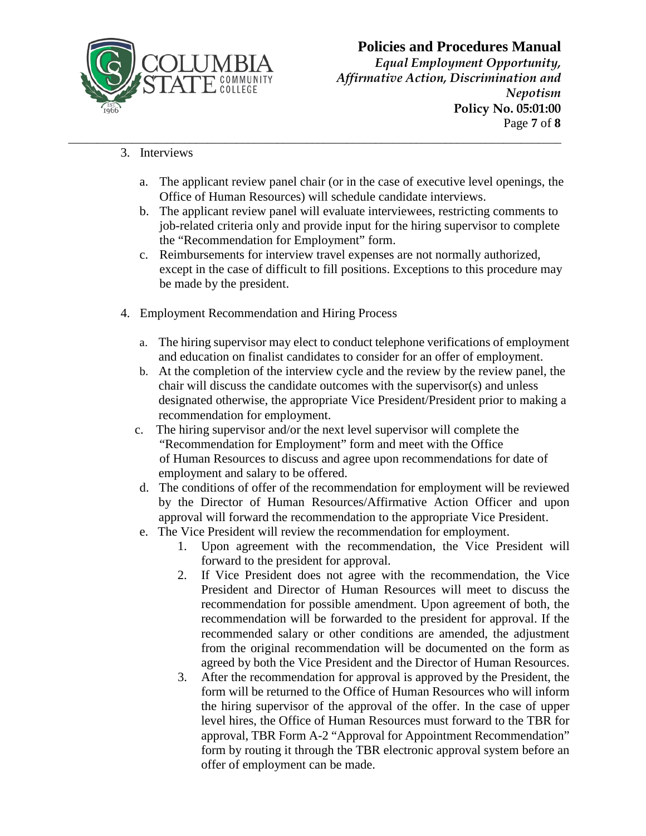

*Equal Employment Opportunity, Affirmative Action, Discrimination and Nepotism* **Policy No. 05:01:00** Page **7** of **8**

- 3. Interviews
	- a. The applicant review panel chair (or in the case of executive level openings, the Office of Human Resources) will schedule candidate interviews.

**\_\_\_\_\_\_\_\_\_\_\_\_\_\_\_\_\_\_\_\_\_\_\_\_\_\_\_\_\_\_\_\_\_\_\_\_\_\_\_\_\_\_\_\_\_\_\_\_\_\_\_\_\_\_\_\_\_\_\_\_\_\_\_\_\_\_\_\_\_\_\_\_\_\_\_\_\_\_\_\_\_\_\_\_\_**

- b. The applicant review panel will evaluate interviewees, restricting comments to job-related criteria only and provide input for the hiring supervisor to complete the "Recommendation for Employment" form.
- c. Reimbursements for interview travel expenses are not normally authorized, except in the case of difficult to fill positions. Exceptions to this procedure may be made by the president.
- 4. Employment Recommendation and Hiring Process
	- a. The hiring supervisor may elect to conduct telephone verifications of employment and education on finalist candidates to consider for an offer of employment.
	- b. At the completion of the interview cycle and the review by the review panel, the chair will discuss the candidate outcomes with the supervisor(s) and unless designated otherwise, the appropriate Vice President/President prior to making a recommendation for employment.
	- c. The hiring supervisor and/or the next level supervisor will complete the "Recommendation for Employment" form and meet with the Office of Human Resources to discuss and agree upon recommendations for date of employment and salary to be offered.
	- d. The conditions of offer of the recommendation for employment will be reviewed by the Director of Human Resources/Affirmative Action Officer and upon approval will forward the recommendation to the appropriate Vice President.
	- e. The Vice President will review the recommendation for employment.
		- 1. Upon agreement with the recommendation, the Vice President will forward to the president for approval.
		- 2. If Vice President does not agree with the recommendation, the Vice President and Director of Human Resources will meet to discuss the recommendation for possible amendment. Upon agreement of both, the recommendation will be forwarded to the president for approval. If the recommended salary or other conditions are amended, the adjustment from the original recommendation will be documented on the form as agreed by both the Vice President and the Director of Human Resources.
		- 3. After the recommendation for approval is approved by the President, the form will be returned to the Office of Human Resources who will inform the hiring supervisor of the approval of the offer. In the case of upper level hires, the Office of Human Resources must forward to the TBR for approval, TBR Form A-2 "Approval for Appointment Recommendation" form by routing it through the TBR electronic approval system before an offer of employment can be made.